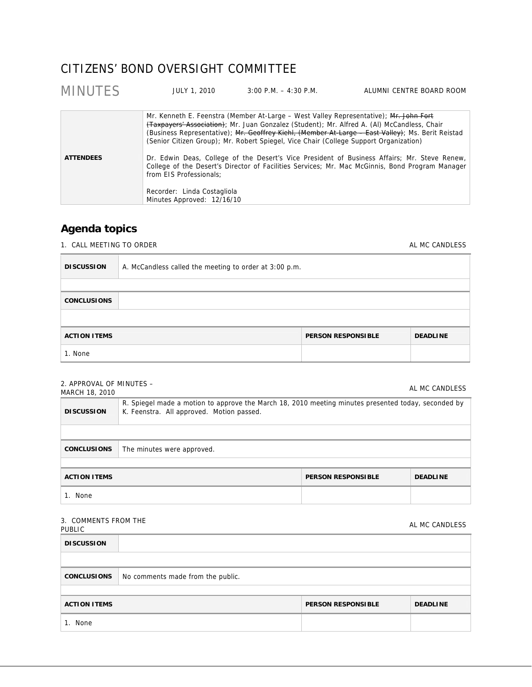# CITIZENS' BOND OVERSIGHT COMMITTEE

| <b>MINUTES</b>   | JULY 1, 2010                                                                         | $3:00$ P.M. $-4:30$ P.M.                                                                                                                                                                                                                                                      | ALUMNI CENTRE BOARD ROOM                                                                                                                                                                                                                                                                             |
|------------------|--------------------------------------------------------------------------------------|-------------------------------------------------------------------------------------------------------------------------------------------------------------------------------------------------------------------------------------------------------------------------------|------------------------------------------------------------------------------------------------------------------------------------------------------------------------------------------------------------------------------------------------------------------------------------------------------|
| <b>ATTENDEES</b> | from EIS Professionals;<br>Recorder: Linda Costagliola<br>Minutes Approved: 12/16/10 | Mr. Kenneth E. Feenstra (Member At-Large – West Valley Representative); Mr. John Fort<br>(Taxpayers' Association); Mr. Juan Gonzalez (Student); Mr. Alfred A. (Al) McCandless, Chair<br>(Senior Citizen Group); Mr. Robert Spiegel, Vice Chair (College Support Organization) | (Business Representative); Mr. Geoffrey Kiehl, (Member At-Large - East Valley); Ms. Berit Reistad<br>Dr. Edwin Deas, College of the Desert's Vice President of Business Affairs; Mr. Steve Renew,<br>College of the Desert's Director of Facilities Services; Mr. Mac McGinnis, Bond Program Manager |
|                  |                                                                                      |                                                                                                                                                                                                                                                                               |                                                                                                                                                                                                                                                                                                      |

## **Agenda topics**

1. CALL MEETING TO ORDER **ALL MC CANDLESS ALMC CANDLESS** 

| <b>DISCUSSION</b>   | A. McCandless called the meeting to order at 3:00 p.m. |                           |                 |
|---------------------|--------------------------------------------------------|---------------------------|-----------------|
|                     |                                                        |                           |                 |
| <b>CONCLUSIONS</b>  |                                                        |                           |                 |
|                     |                                                        |                           |                 |
| <b>ACTION ITEMS</b> |                                                        | <b>PERSON RESPONSIBLE</b> | <b>DEADLINE</b> |
| 1. None             |                                                        |                           |                 |

## 2. APPROVAL OF MINUTES –

| $\epsilon$ . AT TIVO VALIOTI IVILIVO TLJ –<br>MARCH 18, 2010        |                                                                                                                                                  |  | AL MC CANDLESS |
|---------------------------------------------------------------------|--------------------------------------------------------------------------------------------------------------------------------------------------|--|----------------|
| <b>DISCUSSION</b>                                                   | R. Spiegel made a motion to approve the March 18, 2010 meeting minutes presented today, seconded by<br>K. Feenstra. All approved. Motion passed. |  |                |
|                                                                     |                                                                                                                                                  |  |                |
| <b>CONCLUSIONS</b>                                                  | The minutes were approved.                                                                                                                       |  |                |
|                                                                     |                                                                                                                                                  |  |                |
| <b>ACTION ITEMS</b><br><b>PERSON RESPONSIBLE</b><br><b>DEADLINE</b> |                                                                                                                                                  |  |                |
| 1. None                                                             |                                                                                                                                                  |  |                |

# 3. COMMENTS FROM THE

SUIVALIST AND THE SERVICE SERVICE SERVICE SERVICE SERVICE SERVICE SERVICE SERVICE SERVICE SERVICE SERVICE SERVICE S<br>PUBLIC **DISCUSSION CONCLUSIONS** No comments made from the public. **ACTION ITEMS PERSON RESPONSIBLE DEADLINE** 1. None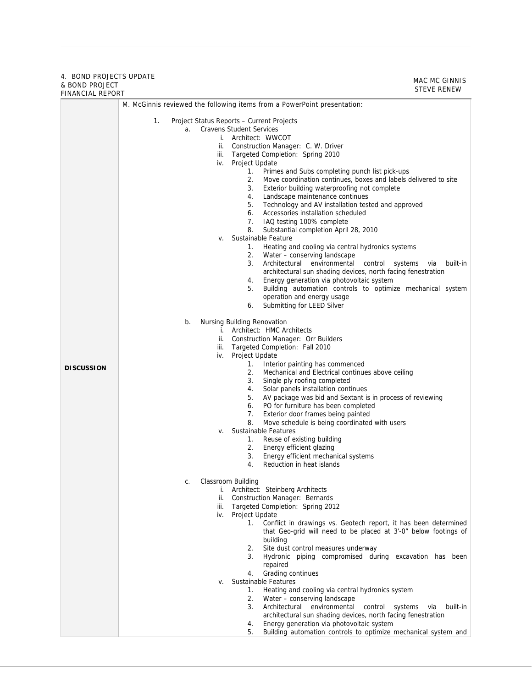#### 4. BOND PROJECTS UPDATE & BOND PROJECT FINANCIAL REPORT

MAC MC GINNIS STEVE RENEW

|                   | M. McGinnis reviewed the following items from a PowerPoint presentation:                                  |  |  |  |
|-------------------|-----------------------------------------------------------------------------------------------------------|--|--|--|
|                   | Project Status Reports - Current Projects<br>1.                                                           |  |  |  |
|                   | <b>Cravens Student Services</b><br>a.                                                                     |  |  |  |
|                   | i. Architect: WWCOT                                                                                       |  |  |  |
|                   | ii. Construction Manager: C. W. Driver                                                                    |  |  |  |
|                   | iii. Targeted Completion: Spring 2010                                                                     |  |  |  |
|                   | iv. Project Update<br>1.<br>Primes and Subs completing punch list pick-ups                                |  |  |  |
|                   | 2.<br>Move coordination continues, boxes and labels delivered to site                                     |  |  |  |
|                   | Exterior building waterproofing not complete<br>3.                                                        |  |  |  |
|                   | Landscape maintenance continues<br>4.                                                                     |  |  |  |
|                   | 5. Technology and AV installation tested and approved<br>6. Accessories installation scheduled            |  |  |  |
|                   | 7.<br>IAQ testing 100% complete                                                                           |  |  |  |
|                   | 8.<br>Substantial completion April 28, 2010                                                               |  |  |  |
|                   | Sustainable Feature<br>V.                                                                                 |  |  |  |
|                   | Heating and cooling via central hydronics systems<br>1.<br>2.<br>Water - conserving landscape             |  |  |  |
|                   | 3.<br>Architectural environmental<br>control<br>systems<br>built-in<br>via                                |  |  |  |
|                   | architectural sun shading devices, north facing fenestration                                              |  |  |  |
|                   | Energy generation via photovoltaic system<br>4.                                                           |  |  |  |
|                   | Building automation controls to optimize mechanical system<br>5.<br>operation and energy usage            |  |  |  |
|                   | 6.<br>Submitting for LEED Silver                                                                          |  |  |  |
|                   |                                                                                                           |  |  |  |
|                   | Nursing Building Renovation<br>b.<br>i. Architect: HMC Architects                                         |  |  |  |
|                   | ii. Construction Manager: Orr Builders                                                                    |  |  |  |
|                   | iii. Targeted Completion: Fall 2010                                                                       |  |  |  |
|                   | iv. Project Update                                                                                        |  |  |  |
| <b>DISCUSSION</b> | 1.<br>Interior painting has commenced<br>2.<br>Mechanical and Electrical continues above ceiling          |  |  |  |
|                   | 3.<br>Single ply roofing completed                                                                        |  |  |  |
|                   | 4.<br>Solar panels installation continues                                                                 |  |  |  |
|                   | AV package was bid and Sextant is in process of reviewing<br>5.<br>6. PO for furniture has been completed |  |  |  |
|                   | 7.<br>Exterior door frames being painted                                                                  |  |  |  |
|                   | 8.<br>Move schedule is being coordinated with users                                                       |  |  |  |
|                   | Sustainable Features<br>V.                                                                                |  |  |  |
|                   | Reuse of existing building<br>1.<br>2.<br>Energy efficient glazing                                        |  |  |  |
|                   | 3.<br>Energy efficient mechanical systems                                                                 |  |  |  |
|                   | 4.<br>Reduction in heat islands                                                                           |  |  |  |
|                   | Classroom Building<br>C.                                                                                  |  |  |  |
|                   | Architect: Steinberg Architects<br>İ.                                                                     |  |  |  |
|                   | Construction Manager: Bernards<br>ii.                                                                     |  |  |  |
|                   | Targeted Completion: Spring 2012<br>iii.<br>Project Update<br>iv.                                         |  |  |  |
|                   | 1.<br>Conflict in drawings vs. Geotech report, it has been determined                                     |  |  |  |
|                   | that Geo-grid will need to be placed at 3'-0" below footings of                                           |  |  |  |
|                   | building                                                                                                  |  |  |  |
|                   | Site dust control measures underway<br>2.<br>3.<br>Hydronic piping compromised during excavation has been |  |  |  |
|                   | repaired                                                                                                  |  |  |  |
|                   | Grading continues<br>4.                                                                                   |  |  |  |
|                   | Sustainable Features<br>v.                                                                                |  |  |  |
|                   | Heating and cooling via central hydronics system<br>1.<br>2.<br>Water - conserving landscape              |  |  |  |
|                   | 3.<br>Architectural environmental control<br>built-in<br>systems<br>via                                   |  |  |  |
|                   | architectural sun shading devices, north facing fenestration                                              |  |  |  |
|                   | Energy generation via photovoltaic system<br>4.                                                           |  |  |  |
|                   | Building automation controls to optimize mechanical system and<br>5.                                      |  |  |  |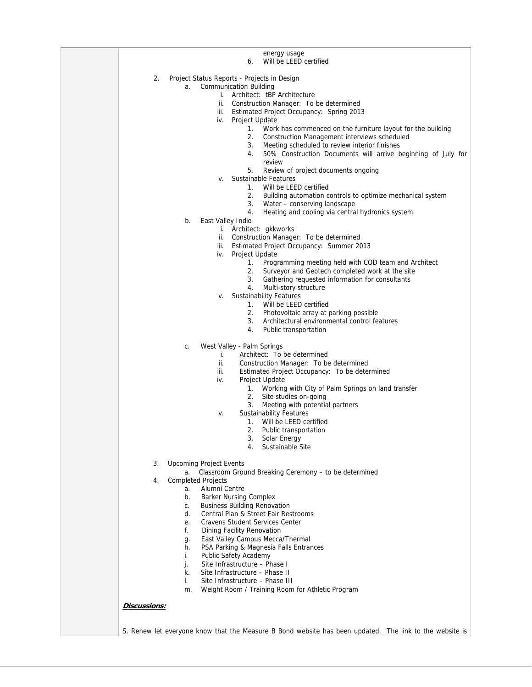|                     | energy usage<br>Will be LEED certified<br>6.                                                           |
|---------------------|--------------------------------------------------------------------------------------------------------|
| 2.                  | Project Status Reports - Projects in Design                                                            |
|                     | <b>Communication Building</b><br>a.                                                                    |
|                     | i. Architect: tBP Architecture                                                                         |
|                     | ii.<br>Construction Manager: To be determined                                                          |
|                     | iii. Estimated Project Occupancy: Spring 2013                                                          |
|                     | iv. Project Update<br>1.<br>Work has commenced on the furniture layout for the building                |
|                     | 2.<br>Construction Management interviews scheduled                                                     |
|                     | 3.<br>Meeting scheduled to review interior finishes                                                    |
|                     | 50% Construction Documents will arrive beginning of July for<br>4.                                     |
|                     | review                                                                                                 |
|                     | 5.<br>Review of project documents ongoing<br>Sustainable Features<br>V.                                |
|                     | 1. Will be LEED certified                                                                              |
|                     | Building automation controls to optimize mechanical system<br>2.                                       |
|                     | 3.<br>Water - conserving landscape                                                                     |
|                     | 4.<br>Heating and cooling via central hydronics system                                                 |
|                     | b.<br>East Valley Indio                                                                                |
|                     | i. Architect: gkkworks<br>ii. Construction Manager: To be determined                                   |
|                     | iii. Estimated Project Occupancy: Summer 2013                                                          |
|                     | Project Update<br>iv.                                                                                  |
|                     | 1.<br>Programming meeting held with COD team and Architect                                             |
|                     | 2.<br>Surveyor and Geotech completed work at the site                                                  |
|                     | Gathering requested information for consultants<br>4.<br>Multi-story structure                         |
|                     | <b>Sustainability Features</b><br>V.                                                                   |
|                     | 1. Will be LEED certified                                                                              |
|                     | Photovoltaic array at parking possible<br>2.                                                           |
|                     | Architectural environmental control features<br>3.                                                     |
|                     | 4.<br>Public transportation                                                                            |
|                     | West Valley - Palm Springs<br>C.                                                                       |
|                     | Architect: To be determined<br>i.                                                                      |
|                     | ii.<br>Construction Manager: To be determined<br>iii.<br>Estimated Project Occupancy: To be determined |
|                     | iv.<br>Project Update                                                                                  |
|                     | 1. Working with City of Palm Springs on land transfer                                                  |
|                     | 2.<br>Site studies on-going                                                                            |
|                     | 3.<br>Meeting with potential partners                                                                  |
|                     | <b>Sustainability Features</b><br>v.<br>Will be LEED certified<br>1.                                   |
|                     | 2.<br>Public transportation                                                                            |
|                     | Solar Energy<br>3.                                                                                     |
|                     | Sustainable Site<br>4.                                                                                 |
| 3.                  | <b>Upcoming Project Events</b>                                                                         |
|                     | Classroom Ground Breaking Ceremony - to be determined<br>а.                                            |
| 4.                  | <b>Completed Projects</b>                                                                              |
|                     | Alumni Centre<br>a.                                                                                    |
|                     | <b>Barker Nursing Complex</b><br>b.<br><b>Business Building Renovation</b><br>C.                       |
|                     | Central Plan & Street Fair Restrooms<br>d.                                                             |
|                     | <b>Cravens Student Services Center</b><br>е.                                                           |
|                     | f.<br>Dining Facility Renovation                                                                       |
|                     | East Valley Campus Mecca/Thermal<br>g.                                                                 |
|                     | PSA Parking & Magnesia Falls Entrances<br>h.<br>i.                                                     |
|                     | Public Safety Academy<br>Site Infrastructure - Phase I<br>j.                                           |
|                     | Site Infrastructure - Phase II<br>k.                                                                   |
|                     | Site Infrastructure - Phase III<br>I.                                                                  |
|                     | Weight Room / Training Room for Athletic Program<br>m.                                                 |
|                     |                                                                                                        |
| <b>Discussions:</b> |                                                                                                        |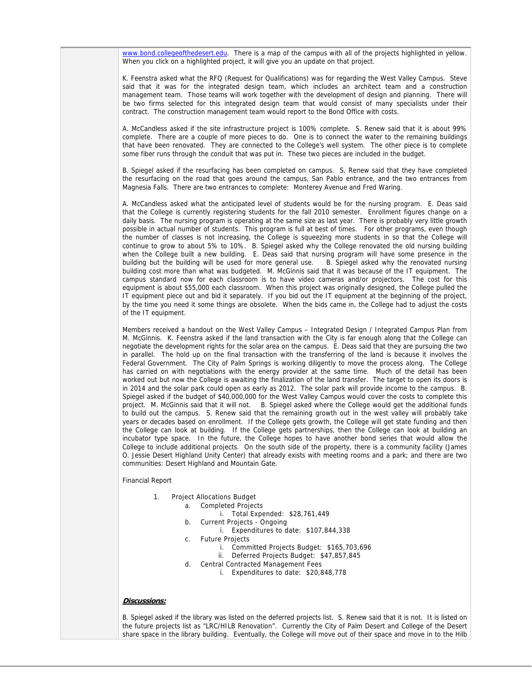www.bond.collegeofthedesert.edu. There is a map of the campus with all of the projects highlighted in yellow. When you click on a highlighted project, it will give you an update on that project.

K. Feenstra asked what the RFQ (Request for Qualifications) was for regarding the West Valley Campus. Steve said that it was for the integrated design team, which includes an architect team and a construction management team. Those teams will work together with the development of design and planning. There will be two firms selected for this integrated design team that would consist of many specialists under their contract. The construction management team would report to the Bond Office with costs.

A. McCandless asked if the site infrastructure project is 100% complete. S. Renew said that it is about 99% complete. There are a couple of more pieces to do. One is to connect the water to the remaining buildings that have been renovated. They are connected to the College's well system. The other piece is to complete some fiber runs through the conduit that was put in. These two pieces are included in the budget.

B. Spiegel asked if the resurfacing has been completed on campus. S. Renew said that they have completed the resurfacing on the road that goes around the campus, San Pablo entrance, and the two entrances from Magnesia Falls. There are two entrances to complete: Monterey Avenue and Fred Waring.

A. McCandless asked what the anticipated level of students would be for the nursing program. E. Deas said that the College is currently registering students for the fall 2010 semester. Enrollment figures change on a daily basis. The nursing program is operating at the same size as last year. There is probably very little growth possible in actual number of students. This program is full at best of times. For other programs, even though the number of classes is not increasing, the College is squeezing more students in so that the College will continue to grow to about 5% to 10%. B. Spiegel asked why the College renovated the old nursing building when the College built a new building. E. Deas said that nursing program will have some presence in the building will be used for more general use. B. Spiegel asked why the renovated nursing building but the building will be used for more general use. building cost more than what was budgeted. M. McGinnis said that it was because of the IT equipment. The campus standard now for each classroom is to have video cameras and/or projectors. The cost for this equipment is about \$55,000 each classroom. When this project was originally designed, the College pulled the IT equipment piece out and bid it separately. If you bid out the IT equipment at the beginning of the project, by the time you need it some things are obsolete. When the bids came in, the College had to adjust the costs of the IT equipment.

Members received a handout on the West Valley Campus – Integrated Design / Integrated Campus Plan from M. McGinnis. K. Feenstra asked if the land transaction with the City is far enough along that the College can negotiate the development rights for the solar area on the campus. E. Deas said that they are pursuing the two in parallel. The hold up on the final transaction with the transferring of the land is because it involves the Federal Government. The City of Palm Springs is working diligently to move the process along. The College has carried on with negotiations with the energy provider at the same time. Much of the detail has been worked out but now the College is awaiting the finalization of the land transfer. The target to open its doors is in 2014 and the solar park could open as early as 2012. The solar park will provide income to the campus. B. Spiegel asked if the budget of \$40,000,000 for the West Valley Campus would cover the costs to complete this project. M. McGinnis said that it will not. B. Spiegel asked where the College would get the additional funds to build out the campus. S. Renew said that the remaining growth out in the west valley will probably take years or decades based on enrollment. If the College gets growth, the College will get state funding and then the College can look at building. If the College gets partnerships, then the College can look at building an incubator type space. In the future, the College hopes to have another bond series that would allow the College to include additional projects. On the south side of the property, there is a community facility (James O. Jessie Desert Highland Unity Center) that already exists with meeting rooms and a park; and there are two communities: Desert Highland and Mountain Gate.

Financial Report

- 1. Project Allocations Budget
	- a. Completed Projects
		- i. Total Expended: \$28,761,449
	- b. Current Projects Ongoing
		- i. Expenditures to date: \$107,844,338
	- c. Future Projects
		- i. Committed Projects Budget: \$165,703,696
		- ii. Deferred Projects Budget: \$47,857,845
	- d. Central Contracted Management Fees
		- i. Expenditures to date: \$20,848,778

#### **Discussions:**

B. Spiegel asked if the library was listed on the deferred projects list. S. Renew said that it is not. It is listed on the future projects list as "LRC/HILB Renovation". Currently the City of Palm Desert and College of the Desert share space in the library building. Eventually, the College will move out of their space and move in to the Hilb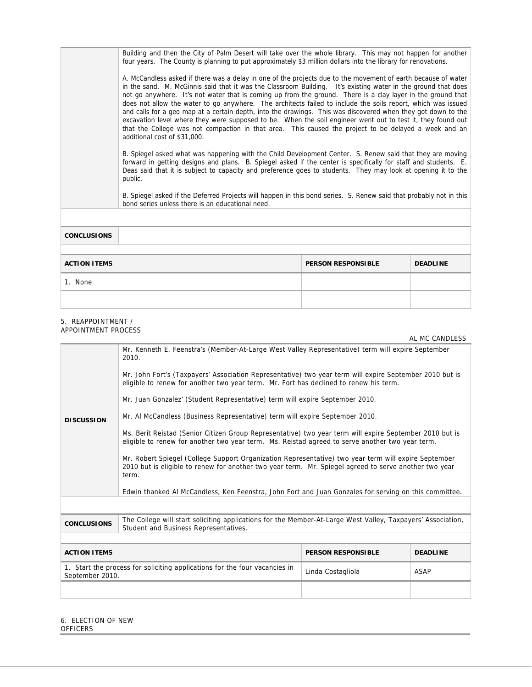Building and then the City of Palm Desert will take over the whole library. This may not happen for another four years. The County is planning to put approximately \$3 million dollars into the library for renovations.

A. McCandless asked if there was a delay in one of the projects due to the movement of earth because of water in the sand. M. McGinnis said that it was the Classroom Building. It's existing water in the ground that does not go anywhere. It's not water that is coming up from the ground. There is a clay layer in the ground that does not allow the water to go anywhere. The architects failed to include the soils report, which was issued and calls for a geo map at a certain depth, into the drawings. This was discovered when they got down to the excavation level where they were supposed to be. When the soil engineer went out to test it, they found out that the College was not compaction in that area. This caused the project to be delayed a week and an additional cost of \$31,000.

B. Spiegel asked what was happening with the Child Development Center. S. Renew said that they are moving forward in getting designs and plans. B. Spiegel asked if the center is specifically for staff and students. E. Deas said that it is subject to capacity and preference goes to students. They may look at opening it to the public.

B. Spiegel asked if the Deferred Projects will happen in this bond series. S. Renew said that probably not in this bond series unless there is an educational need.

| <b>CONCLUSIONS</b>  |                           |                 |
|---------------------|---------------------------|-----------------|
| <b>ACTION ITEMS</b> | <b>PERSON RESPONSIBLE</b> | <b>DEADLINE</b> |
| 1. None             |                           |                 |
|                     |                           |                 |

#### 5. REAPPOINTMENT / APPOINTMENT PROCESS

|                                                                                                                                                                            |                                                                                                                                                                                                                        |                           | AL MC CANDLESS  |  |
|----------------------------------------------------------------------------------------------------------------------------------------------------------------------------|------------------------------------------------------------------------------------------------------------------------------------------------------------------------------------------------------------------------|---------------------------|-----------------|--|
|                                                                                                                                                                            | Mr. Kenneth E. Feenstra's (Member-At-Large West Valley Representative) term will expire September<br>2010.                                                                                                             |                           |                 |  |
| <b>DISCUSSION</b>                                                                                                                                                          | Mr. John Fort's (Taxpayers' Association Representative) two year term will expire September 2010 but is<br>eligible to renew for another two year term. Mr. Fort has declined to renew his term.                       |                           |                 |  |
|                                                                                                                                                                            | Mr. Juan Gonzalez' (Student Representative) term will expire September 2010.                                                                                                                                           |                           |                 |  |
|                                                                                                                                                                            | Mr. Al McCandless (Business Representative) term will expire September 2010.                                                                                                                                           |                           |                 |  |
|                                                                                                                                                                            | Ms. Berit Reistad (Senior Citizen Group Representative) two year term will expire September 2010 but is<br>eligible to renew for another two year term. Ms. Reistad agreed to serve another two year term.             |                           |                 |  |
|                                                                                                                                                                            | Mr. Robert Spiegel (College Support Organization Representative) two year term will expire September<br>2010 but is eligible to renew for another two year term. Mr. Spiegel agreed to serve another two year<br>term. |                           |                 |  |
|                                                                                                                                                                            | Edwin thanked AI McCandless, Ken Feenstra, John Fort and Juan Gonzales for serving on this committee.                                                                                                                  |                           |                 |  |
|                                                                                                                                                                            |                                                                                                                                                                                                                        |                           |                 |  |
| The College will start soliciting applications for the Member-At-Large West Valley, Taxpayers' Association,<br><b>CONCLUSIONS</b><br>Student and Business Representatives. |                                                                                                                                                                                                                        |                           |                 |  |
|                                                                                                                                                                            |                                                                                                                                                                                                                        |                           |                 |  |
| <b>ACTION ITEMS</b>                                                                                                                                                        |                                                                                                                                                                                                                        | <b>PERSON RESPONSIBLE</b> | <b>DEADLINE</b> |  |
| 1. Start the process for soliciting applications for the four vacancies in<br>September 2010.                                                                              |                                                                                                                                                                                                                        | Linda Costagliola         | <b>ASAP</b>     |  |
|                                                                                                                                                                            |                                                                                                                                                                                                                        |                           |                 |  |